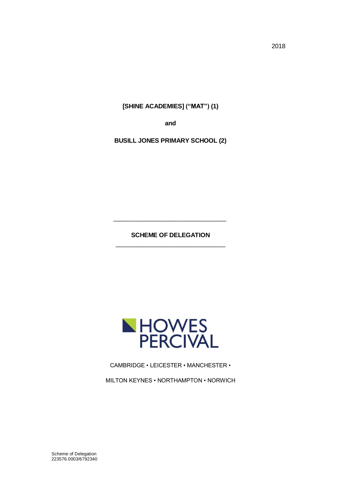**[SHINE ACADEMIES] ("MAT") (1)**

**and**

**BUSILL JONES PRIMARY SCHOOL (2)**

**SCHEME OF DELEGATION** \_\_\_\_\_\_\_\_\_\_\_\_\_\_\_\_\_\_\_\_\_\_\_\_\_\_\_\_\_\_\_\_

\_\_\_\_\_\_\_\_\_\_\_\_\_\_\_\_\_\_\_\_\_\_\_\_\_\_\_\_\_\_\_\_\_



CAMBRIDGE • LEICESTER • MANCHESTER •

MILTON KEYNES • NORTHAMPTON • NORWICH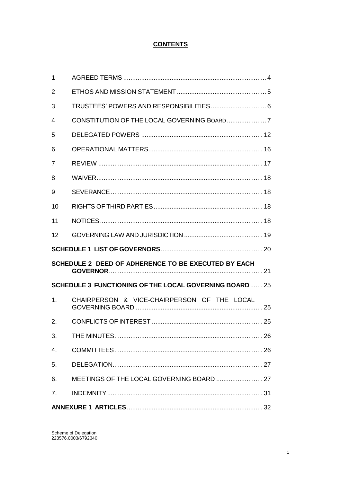# **CONTENTS**

| $\mathbf 1$    |                                                               |  |
|----------------|---------------------------------------------------------------|--|
| 2              |                                                               |  |
| 3              |                                                               |  |
| 4              |                                                               |  |
| 5              |                                                               |  |
| 6              |                                                               |  |
| 7              |                                                               |  |
| 8              |                                                               |  |
| 9              |                                                               |  |
| 10             |                                                               |  |
| 11             |                                                               |  |
| 12             |                                                               |  |
|                |                                                               |  |
|                | SCHEDULE 2 DEED OF ADHERENCE TO BE EXECUTED BY EACH           |  |
|                | <b>SCHEDULE 3 FUNCTIONING OF THE LOCAL GOVERNING BOARD 25</b> |  |
| 1 <sub>1</sub> | CHAIRPERSON & VICE-CHAIRPERSON OF THE LOCAL                   |  |
|                |                                                               |  |
| 2.             |                                                               |  |
| 3.             |                                                               |  |
| 4.             |                                                               |  |
| 5.             |                                                               |  |
| 6.             |                                                               |  |
| 7 <sub>1</sub> |                                                               |  |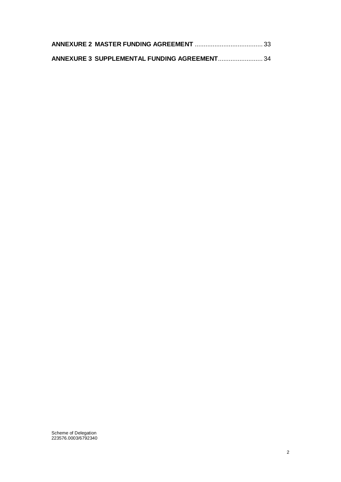| ANNEXURE 3 SUPPLEMENTAL FUNDING AGREEMENT 34 |  |
|----------------------------------------------|--|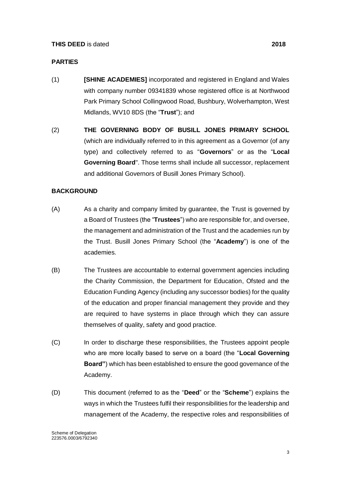#### **PARTIES**

- (1) **[SHINE ACADEMIES]** incorporated and registered in England and Wales with company number 09341839 whose registered office is at Northwood Park Primary School Collingwood Road, Bushbury, Wolverhampton, West Midlands, WV10 8DS (the "**Trust**"); and
- (2) **THE GOVERNING BODY OF BUSILL JONES PRIMARY SCHOOL** (which are individually referred to in this agreement as a Governor (of any type) and collectively referred to as "**Governors**" or as the "**Local Governing Board**". Those terms shall include all successor, replacement and additional Governors of Busill Jones Primary School).

#### **BACKGROUND**

- (A) As a charity and company limited by guarantee, the Trust is governed by a Board of Trustees (the "**Trustees**") who are responsible for, and oversee, the management and administration of the Trust and the academies run by the Trust. Busill Jones Primary School (the "**Academy**") is one of the academies.
- (B) The Trustees are accountable to external government agencies including the Charity Commission, the Department for Education, Ofsted and the Education Funding Agency (including any successor bodies) for the quality of the education and proper financial management they provide and they are required to have systems in place through which they can assure themselves of quality, safety and good practice.
- (C) In order to discharge these responsibilities, the Trustees appoint people who are more locally based to serve on a board (the "**Local Governing Board"**) which has been established to ensure the good governance of the Academy.
- (D) This document (referred to as the "**Deed**" or the "**Scheme**") explains the ways in which the Trustees fulfil their responsibilities for the leadership and management of the Academy, the respective roles and responsibilities of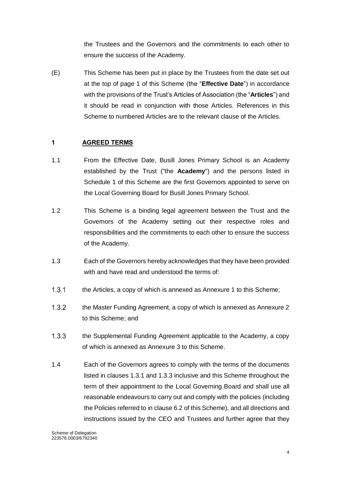the Trustees and the Governors and the commitments to each other to ensure the success of the Academy.

(E) This Scheme has been put in place by the Trustees from the date set out at the top of page 1 of this Scheme (the "**Effective Date**") in accordance with the provisions of the Trust's Articles of Association (the "**Articles**") and it should be read in conjunction with those Articles. References in this Scheme to numbered Articles are to the relevant clause of the Articles.

#### <span id="page-4-0"></span>**1 AGREED TERMS**

- 1.1 From the Effective Date, Busill Jones Primary School is an Academy established by the Trust ("the **Academy**") and the persons listed in Schedule 1 of this Scheme are the first Governors appointed to serve on the Local Governing Board for Busill Jones Primary School.
- 1.2 This Scheme is a binding legal agreement between the Trust and the Governors of the Academy setting out their respective roles and responsibilities and the commitments to each other to ensure the success of the Academy.
- 1.3 Each of the Governors hereby acknowledges that they have been provided with and have read and understood the terms of:
- $1.3.1$ the Articles, a copy of which is annexed as Annexure 1 to this Scheme;
- $1.3.2$ the Master Funding Agreement, a copy of which is annexed as Annexure 2 to this Scheme; and
- $1.3.3$ the Supplemental Funding Agreement applicable to the Academy, a copy of which is annexed as Annexure 3 to this Scheme.
- 1.4 Each of the Governors agrees to comply with the terms of the documents listed in clauses 1.3.1 and 1.3.3 inclusive and this Scheme throughout the term of their appointment to the Local Governing Board and shall use all reasonable endeavours to carry out and comply with the policies (including the Policies referred to in clause 6.2 of this Scheme), and all directions and instructions issued by the CEO and Trustees and further agree that they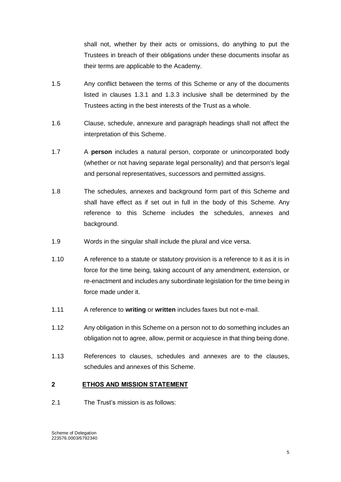shall not, whether by their acts or omissions, do anything to put the Trustees in breach of their obligations under these documents insofar as their terms are applicable to the Academy.

- 1.5 Any conflict between the terms of this Scheme or any of the documents listed in clauses 1.3.1 and 1.3.3 inclusive shall be determined by the Trustees acting in the best interests of the Trust as a whole.
- 1.6 Clause, schedule, annexure and paragraph headings shall not affect the interpretation of this Scheme.
- 1.7 A **person** includes a natural person, corporate or unincorporated body (whether or not having separate legal personality) and that person's legal and personal representatives, successors and permitted assigns.
- 1.8 The schedules, annexes and background form part of this Scheme and shall have effect as if set out in full in the body of this Scheme. Any reference to this Scheme includes the schedules, annexes and background.
- 1.9 Words in the singular shall include the plural and vice versa.
- 1.10 A reference to a statute or statutory provision is a reference to it as it is in force for the time being, taking account of any amendment, extension, or re-enactment and includes any subordinate legislation for the time being in force made under it.
- 1.11 A reference to **writing** or **written** includes faxes but not e-mail.
- 1.12 Any obligation in this Scheme on a person not to do something includes an obligation not to agree, allow, permit or acquiesce in that thing being done.
- 1.13 References to clauses, schedules and annexes are to the clauses, schedules and annexes of this Scheme.

#### <span id="page-5-0"></span>**2 ETHOS AND MISSION STATEMENT**

2.1 The Trust's mission is as follows: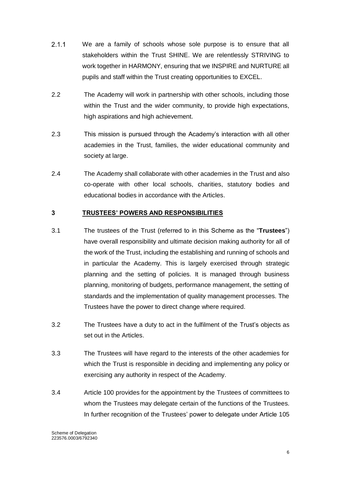- $2.1.1$ We are a family of schools whose sole purpose is to ensure that all stakeholders within the Trust SHINE. We are relentlessly STRIVING to work together in HARMONY, ensuring that we INSPIRE and NURTURE all pupils and staff within the Trust creating opportunities to EXCEL.
- 2.2 The Academy will work in partnership with other schools, including those within the Trust and the wider community, to provide high expectations, high aspirations and high achievement.
- 2.3 This mission is pursued through the Academy's interaction with all other academies in the Trust, families, the wider educational community and society at large.
- 2.4 The Academy shall collaborate with other academies in the Trust and also co-operate with other local schools, charities, statutory bodies and educational bodies in accordance with the Articles.

#### <span id="page-6-0"></span>**3 TRUSTEES' POWERS AND RESPONSIBILITIES**

- 3.1 The trustees of the Trust (referred to in this Scheme as the "**Trustees**") have overall responsibility and ultimate decision making authority for all of the work of the Trust, including the establishing and running of schools and in particular the Academy. This is largely exercised through strategic planning and the setting of policies. It is managed through business planning, monitoring of budgets, performance management, the setting of standards and the implementation of quality management processes. The Trustees have the power to direct change where required.
- 3.2 The Trustees have a duty to act in the fulfilment of the Trust's objects as set out in the Articles.
- 3.3 The Trustees will have regard to the interests of the other academies for which the Trust is responsible in deciding and implementing any policy or exercising any authority in respect of the Academy.
- 3.4 Article 100 provides for the appointment by the Trustees of committees to whom the Trustees may delegate certain of the functions of the Trustees. In further recognition of the Trustees' power to delegate under Article 105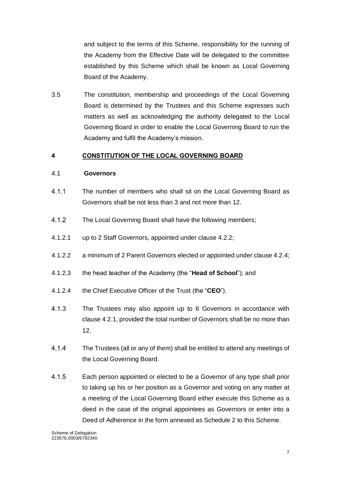and subject to the terms of this Scheme, responsibility for the running of the Academy from the Effective Date will be delegated to the committee established by this Scheme which shall be known as Local Governing Board of the Academy.

3.5 The constitution, membership and proceedings of the Local Governing Board is determined by the Trustees and this Scheme expresses such matters as well as acknowledging the authority delegated to the Local Governing Board in order to enable the Local Governing Board to run the Academy and fulfil the Academy's mission.

#### <span id="page-7-0"></span>**4 CONSTITUTION OF THE LOCAL GOVERNING BOARD**

#### 4.1 **Governors**

- $4.1.1$ The number of members who shall sit on the Local Governing Board as Governors shall be not less than 3 and not more than 12.
- $4.1.2$ The Local Governing Board shall have the following members;
- 4.1.2.1 up to 2 Staff Governors, appointed under clause 4.2.2;
- 4.1.2.2 a minimum of 2 Parent Governors elected or appointed under clause 4.2.4;
- 4.1.2.3 the head teacher of the Academy (the "**Head of School**"); and
- 4.1.2.4 the Chief Executive Officer of the Trust (the "**CEO**").
- $4.1.3$ The Trustees may also appoint up to 6 Governors in accordance with clause 4.2.1, provided the total number of Governors shall be no more than 12.
- $4.1.4$ The Trustees (all or any of them) shall be entitled to attend any meetings of the Local Governing Board.
- $4.1.5$ Each person appointed or elected to be a Governor of any type shall prior to taking up his or her position as a Governor and voting on any matter at a meeting of the Local Governing Board either execute this Scheme as a deed in the case of the original appointees as Governors or enter into a Deed of Adherence in the form annexed as Schedule 2 to this Scheme.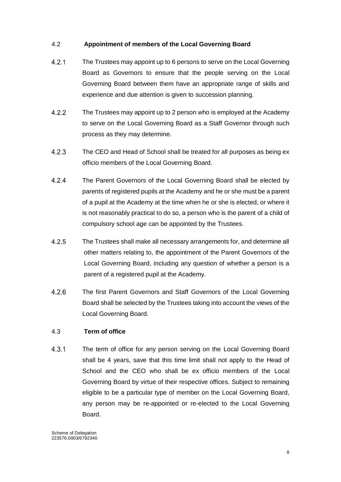#### 4.2 **Appointment of members of the Local Governing Board**

- $4.2.1$ The Trustees may appoint up to 6 persons to serve on the Local Governing Board as Governors to ensure that the people serving on the Local Governing Board between them have an appropriate range of skills and experience and due attention is given to succession planning.
- $4.2.2$ The Trustees may appoint up to 2 person who is employed at the Academy to serve on the Local Governing Board as a Staff Governor through such process as they may determine.
- $4.2.3$ The CEO and Head of School shall be treated for all purposes as being ex officio members of the Local Governing Board.
- 424 The Parent Governors of the Local Governing Board shall be elected by parents of registered pupils at the Academy and he or she must be a parent of a pupil at the Academy at the time when he or she is elected, or where it is not reasonably practical to do so, a person who is the parent of a child of compulsory school age can be appointed by the Trustees.
- $4.2.5$ The Trustees shall make all necessary arrangements for, and determine all other matters relating to, the appointment of the Parent Governors of the Local Governing Board, including any question of whether a person is a parent of a registered pupil at the Academy.
- $4.2.6$ The first Parent Governors and Staff Governors of the Local Governing Board shall be selected by the Trustees taking into account the views of the Local Governing Board.

#### 4.3 **Term of office**

 $4.3.1$ The term of office for any person serving on the Local Governing Board shall be 4 years, save that this time limit shall not apply to the Head of School and the CEO who shall be ex officio members of the Local Governing Board by virtue of their respective offices. Subject to remaining eligible to be a particular type of member on the Local Governing Board, any person may be re-appointed or re-elected to the Local Governing Board.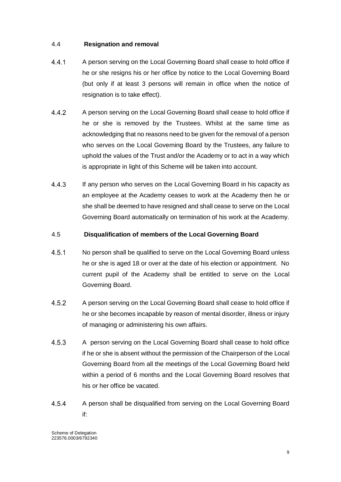## 4.4 **Resignation and removal**

- $4.4.1$ A person serving on the Local Governing Board shall cease to hold office if he or she resigns his or her office by notice to the Local Governing Board (but only if at least 3 persons will remain in office when the notice of resignation is to take effect).
- $4.4.2$ A person serving on the Local Governing Board shall cease to hold office if he or she is removed by the Trustees. Whilst at the same time as acknowledging that no reasons need to be given for the removal of a person who serves on the Local Governing Board by the Trustees, any failure to uphold the values of the Trust and/or the Academy or to act in a way which is appropriate in light of this Scheme will be taken into account.
- $4.4.3$ If any person who serves on the Local Governing Board in his capacity as an employee at the Academy ceases to work at the Academy then he or she shall be deemed to have resigned and shall cease to serve on the Local Governing Board automatically on termination of his work at the Academy.

#### 4.5 **Disqualification of members of the Local Governing Board**

- $4.5.1$ No person shall be qualified to serve on the Local Governing Board unless he or she is aged 18 or over at the date of his election or appointment. No current pupil of the Academy shall be entitled to serve on the Local Governing Board.
- $4.5.2$ A person serving on the Local Governing Board shall cease to hold office if he or she becomes incapable by reason of mental disorder, illness or injury of managing or administering his own affairs.
- 4.5.3 A person serving on the Local Governing Board shall cease to hold office if he or she is absent without the permission of the Chairperson of the Local Governing Board from all the meetings of the Local Governing Board held within a period of 6 months and the Local Governing Board resolves that his or her office be vacated.
- 4.5.4 A person shall be disqualified from serving on the Local Governing Board if: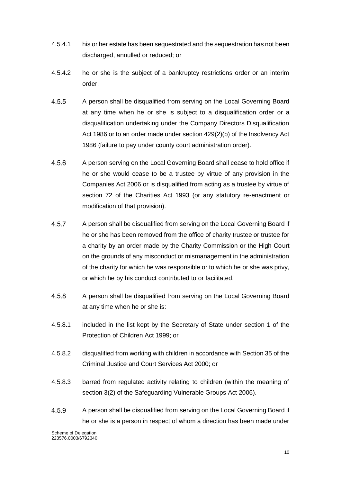- 4.5.4.1 his or her estate has been sequestrated and the sequestration has not been discharged, annulled or reduced; or
- 4.5.4.2 he or she is the subject of a bankruptcy restrictions order or an interim order.
- 4.5.5 A person shall be disqualified from serving on the Local Governing Board at any time when he or she is subject to a disqualification order or a disqualification undertaking under the Company Directors Disqualification Act 1986 or to an order made under section 429(2)(b) of the Insolvency Act 1986 (failure to pay under county court administration order).
- 456 A person serving on the Local Governing Board shall cease to hold office if he or she would cease to be a trustee by virtue of any provision in the Companies Act 2006 or is disqualified from acting as a trustee by virtue of section 72 of the Charities Act 1993 (or any statutory re-enactment or modification of that provision).
- 4.5.7 A person shall be disqualified from serving on the Local Governing Board if he or she has been removed from the office of charity trustee or trustee for a charity by an order made by the Charity Commission or the High Court on the grounds of any misconduct or mismanagement in the administration of the charity for which he was responsible or to which he or she was privy, or which he by his conduct contributed to or facilitated.
- 4.5.8 A person shall be disqualified from serving on the Local Governing Board at any time when he or she is:
- 4.5.8.1 included in the list kept by the Secretary of State under section 1 of the Protection of Children Act 1999; or
- 4.5.8.2 disqualified from working with children in accordance with Section 35 of the Criminal Justice and Court Services Act 2000; or
- 4.5.8.3 barred from regulated activity relating to children (within the meaning of section 3(2) of the Safeguarding Vulnerable Groups Act 2006).
- 4.5.9 A person shall be disqualified from serving on the Local Governing Board if he or she is a person in respect of whom a direction has been made under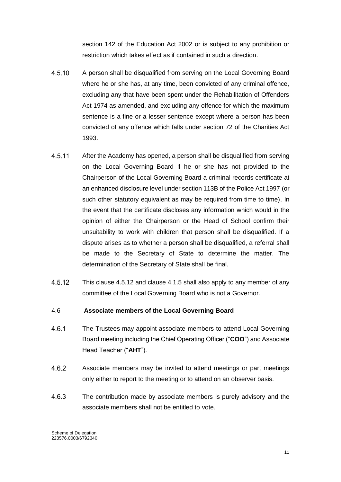section 142 of the Education Act 2002 or is subject to any prohibition or restriction which takes effect as if contained in such a direction.

- 4.5.10 A person shall be disqualified from serving on the Local Governing Board where he or she has, at any time, been convicted of any criminal offence, excluding any that have been spent under the Rehabilitation of Offenders Act 1974 as amended, and excluding any offence for which the maximum sentence is a fine or a lesser sentence except where a person has been convicted of any offence which falls under section 72 of the Charities Act 1993.
- 4.5.11 After the Academy has opened, a person shall be disqualified from serving on the Local Governing Board if he or she has not provided to the Chairperson of the Local Governing Board a criminal records certificate at an enhanced disclosure level under section 113B of the Police Act 1997 (or such other statutory equivalent as may be required from time to time). In the event that the certificate discloses any information which would in the opinion of either the Chairperson or the Head of School confirm their unsuitability to work with children that person shall be disqualified. If a dispute arises as to whether a person shall be disqualified, a referral shall be made to the Secretary of State to determine the matter. The determination of the Secretary of State shall be final.
- 4.5.12 This clause 4.5.12 and clause 4.1.5 shall also apply to any member of any committee of the Local Governing Board who is not a Governor.

#### 4.6 **Associate members of the Local Governing Board**

- $4.6.1$ The Trustees may appoint associate members to attend Local Governing Board meeting including the Chief Operating Officer ("**COO**") and Associate Head Teacher ("**AHT**").
- 4.6.2 Associate members may be invited to attend meetings or part meetings only either to report to the meeting or to attend on an observer basis.
- 4.6.3 The contribution made by associate members is purely advisory and the associate members shall not be entitled to vote.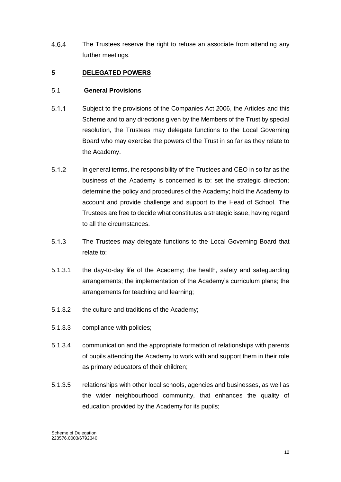$4.6.4$ The Trustees reserve the right to refuse an associate from attending any further meetings.

#### <span id="page-12-0"></span>**5 DELEGATED POWERS**

#### 5.1 **General Provisions**

- $5.1.1$ Subject to the provisions of the Companies Act 2006, the Articles and this Scheme and to any directions given by the Members of the Trust by special resolution, the Trustees may delegate functions to the Local Governing Board who may exercise the powers of the Trust in so far as they relate to the Academy.
- 512 In general terms, the responsibility of the Trustees and CEO in so far as the business of the Academy is concerned is to: set the strategic direction; determine the policy and procedures of the Academy; hold the Academy to account and provide challenge and support to the Head of School. The Trustees are free to decide what constitutes a strategic issue, having regard to all the circumstances.
- $5.1.3$ The Trustees may delegate functions to the Local Governing Board that relate to:
- 5.1.3.1 the day-to-day life of the Academy; the health, safety and safeguarding arrangements; the implementation of the Academy's curriculum plans; the arrangements for teaching and learning;
- 5.1.3.2 the culture and traditions of the Academy;
- 5.1.3.3 compliance with policies;
- 5.1.3.4 communication and the appropriate formation of relationships with parents of pupils attending the Academy to work with and support them in their role as primary educators of their children;
- 5.1.3.5 relationships with other local schools, agencies and businesses, as well as the wider neighbourhood community, that enhances the quality of education provided by the Academy for its pupils;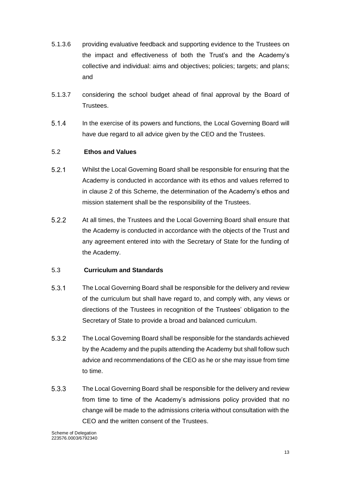- 5.1.3.6 providing evaluative feedback and supporting evidence to the Trustees on the impact and effectiveness of both the Trust's and the Academy's collective and individual: aims and objectives; policies; targets; and plans; and
- 5.1.3.7 considering the school budget ahead of final approval by the Board of Trustees.
- $5.1.4$ In the exercise of its powers and functions, the Local Governing Board will have due regard to all advice given by the CEO and the Trustees.

## 5.2 **Ethos and Values**

- $521$ Whilst the Local Governing Board shall be responsible for ensuring that the Academy is conducted in accordance with its ethos and values referred to in clause 2 of this Scheme, the determination of the Academy's ethos and mission statement shall be the responsibility of the Trustees.
- 5.2.2 At all times, the Trustees and the Local Governing Board shall ensure that the Academy is conducted in accordance with the objects of the Trust and any agreement entered into with the Secretary of State for the funding of the Academy.

## 5.3 **Curriculum and Standards**

- 531 The Local Governing Board shall be responsible for the delivery and review of the curriculum but shall have regard to, and comply with, any views or directions of the Trustees in recognition of the Trustees' obligation to the Secretary of State to provide a broad and balanced curriculum.
- $5.3.2$ The Local Governing Board shall be responsible for the standards achieved by the Academy and the pupils attending the Academy but shall follow such advice and recommendations of the CEO as he or she may issue from time to time.
- 5.3.3 The Local Governing Board shall be responsible for the delivery and review from time to time of the Academy's admissions policy provided that no change will be made to the admissions criteria without consultation with the CEO and the written consent of the Trustees.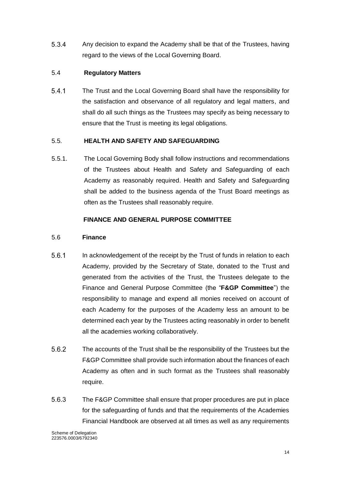$5.3.4$ Any decision to expand the Academy shall be that of the Trustees, having regard to the views of the Local Governing Board.

# 5.4 **Regulatory Matters**

 $5.4.1$ The Trust and the Local Governing Board shall have the responsibility for the satisfaction and observance of all regulatory and legal matters, and shall do all such things as the Trustees may specify as being necessary to ensure that the Trust is meeting its legal obligations.

## 5.5. **HEALTH AND SAFETY AND SAFEGUARDING**

5.5.1. The Local Governing Body shall follow instructions and recommendations of the Trustees about Health and Safety and Safeguarding of each Academy as reasonably required. Health and Safety and Safeguarding shall be added to the business agenda of the Trust Board meetings as often as the Trustees shall reasonably require.

# **FINANCE AND GENERAL PURPOSE COMMITTEE**

## 5.6 **Finance**

- 5.6.1 In acknowledgement of the receipt by the Trust of funds in relation to each Academy, provided by the Secretary of State, donated to the Trust and generated from the activities of the Trust, the Trustees delegate to the Finance and General Purpose Committee (the "**F&GP Committee**") the responsibility to manage and expend all monies received on account of each Academy for the purposes of the Academy less an amount to be determined each year by the Trustees acting reasonably in order to benefit all the academies working collaboratively.
- 5.6.2 The accounts of the Trust shall be the responsibility of the Trustees but the F&GP Committee shall provide such information about the finances of each Academy as often and in such format as the Trustees shall reasonably require.
- 5.6.3 The F&GP Committee shall ensure that proper procedures are put in place for the safeguarding of funds and that the requirements of the Academies Financial Handbook are observed at all times as well as any requirements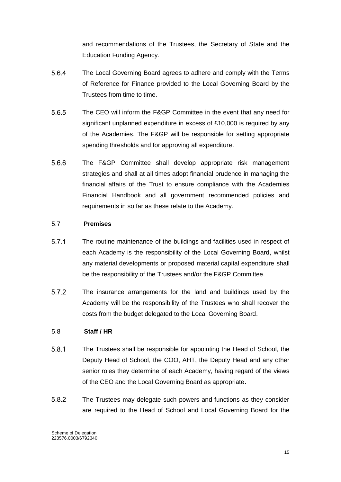and recommendations of the Trustees, the Secretary of State and the Education Funding Agency.

- 5.6.4 The Local Governing Board agrees to adhere and comply with the Terms of Reference for Finance provided to the Local Governing Board by the Trustees from time to time.
- 5.6.5 The CEO will inform the F&GP Committee in the event that any need for significant unplanned expenditure in excess of £10,000 is required by any of the Academies. The F&GP will be responsible for setting appropriate spending thresholds and for approving all expenditure.
- 566 The F&GP Committee shall develop appropriate risk management strategies and shall at all times adopt financial prudence in managing the financial affairs of the Trust to ensure compliance with the Academies Financial Handbook and all government recommended policies and requirements in so far as these relate to the Academy.

#### 5.7 **Premises**

- $5.7.1$ The routine maintenance of the buildings and facilities used in respect of each Academy is the responsibility of the Local Governing Board, whilst any material developments or proposed material capital expenditure shall be the responsibility of the Trustees and/or the F&GP Committee.
- 5.7.2 The insurance arrangements for the land and buildings used by the Academy will be the responsibility of the Trustees who shall recover the costs from the budget delegated to the Local Governing Board.

#### 5.8 **Staff / HR**

- 5.8.1 The Trustees shall be responsible for appointing the Head of School, the Deputy Head of School, the COO, AHT, the Deputy Head and any other senior roles they determine of each Academy, having regard of the views of the CEO and the Local Governing Board as appropriate.
- 5.8.2 The Trustees may delegate such powers and functions as they consider are required to the Head of School and Local Governing Board for the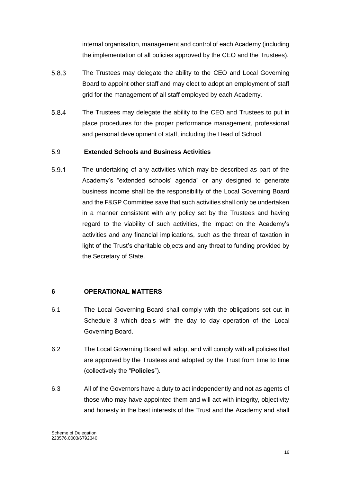internal organisation, management and control of each Academy (including the implementation of all policies approved by the CEO and the Trustees).

- 5.8.3 The Trustees may delegate the ability to the CEO and Local Governing Board to appoint other staff and may elect to adopt an employment of staff grid for the management of all staff employed by each Academy.
- 5.8.4 The Trustees may delegate the ability to the CEO and Trustees to put in place procedures for the proper performance management, professional and personal development of staff, including the Head of School.

#### 5.9 **Extended Schools and Business Activities**

5.9.1 The undertaking of any activities which may be described as part of the Academy's "extended schools' agenda" or any designed to generate business income shall be the responsibility of the Local Governing Board and the F&GP Committee save that such activities shall only be undertaken in a manner consistent with any policy set by the Trustees and having regard to the viability of such activities, the impact on the Academy's activities and any financial implications, such as the threat of taxation in light of the Trust's charitable objects and any threat to funding provided by the Secretary of State.

#### <span id="page-16-0"></span>**6 OPERATIONAL MATTERS**

- 6.1 The Local Governing Board shall comply with the obligations set out in Schedule 3 which deals with the day to day operation of the Local Governing Board.
- 6.2 The Local Governing Board will adopt and will comply with all policies that are approved by the Trustees and adopted by the Trust from time to time (collectively the "**Policies**").
- 6.3 All of the Governors have a duty to act independently and not as agents of those who may have appointed them and will act with integrity, objectivity and honesty in the best interests of the Trust and the Academy and shall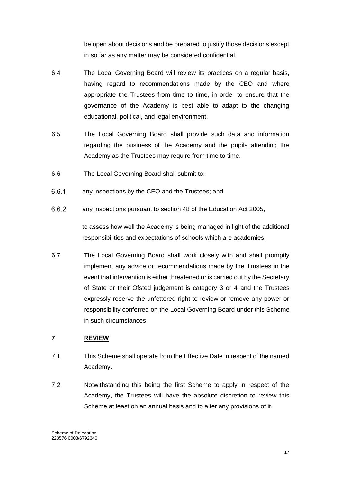be open about decisions and be prepared to justify those decisions except in so far as any matter may be considered confidential.

- 6.4 The Local Governing Board will review its practices on a regular basis, having regard to recommendations made by the CEO and where appropriate the Trustees from time to time, in order to ensure that the governance of the Academy is best able to adapt to the changing educational, political, and legal environment.
- 6.5 The Local Governing Board shall provide such data and information regarding the business of the Academy and the pupils attending the Academy as the Trustees may require from time to time.
- 6.6 The Local Governing Board shall submit to:
- 6.6.1 any inspections by the CEO and the Trustees; and
- 6.6.2 any inspections pursuant to section 48 of the Education Act 2005,

to assess how well the Academy is being managed in light of the additional responsibilities and expectations of schools which are academies.

6.7 The Local Governing Board shall work closely with and shall promptly implement any advice or recommendations made by the Trustees in the event that intervention is either threatened or is carried out by the Secretary of State or their Ofsted judgement is category 3 or 4 and the Trustees expressly reserve the unfettered right to review or remove any power or responsibility conferred on the Local Governing Board under this Scheme in such circumstances.

## <span id="page-17-0"></span>**7 REVIEW**

- 7.1 This Scheme shall operate from the Effective Date in respect of the named Academy.
- 7.2 Notwithstanding this being the first Scheme to apply in respect of the Academy, the Trustees will have the absolute discretion to review this Scheme at least on an annual basis and to alter any provisions of it.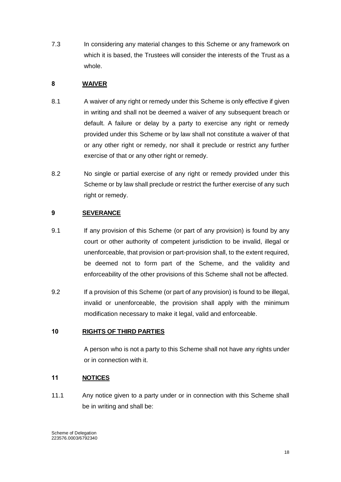7.3 In considering any material changes to this Scheme or any framework on which it is based, the Trustees will consider the interests of the Trust as a whole.

# <span id="page-18-0"></span>**8 WAIVER**

- 8.1 A waiver of any right or remedy under this Scheme is only effective if given in writing and shall not be deemed a waiver of any subsequent breach or default. A failure or delay by a party to exercise any right or remedy provided under this Scheme or by law shall not constitute a waiver of that or any other right or remedy, nor shall it preclude or restrict any further exercise of that or any other right or remedy.
- 8.2 No single or partial exercise of any right or remedy provided under this Scheme or by law shall preclude or restrict the further exercise of any such right or remedy.

# <span id="page-18-1"></span>**9 SEVERANCE**

- 9.1 If any provision of this Scheme (or part of any provision) is found by any court or other authority of competent jurisdiction to be invalid, illegal or unenforceable, that provision or part-provision shall, to the extent required, be deemed not to form part of the Scheme, and the validity and enforceability of the other provisions of this Scheme shall not be affected.
- 9.2 If a provision of this Scheme (or part of any provision) is found to be illegal, invalid or unenforceable, the provision shall apply with the minimum modification necessary to make it legal, valid and enforceable.

## <span id="page-18-2"></span>**10 RIGHTS OF THIRD PARTIES**

A person who is not a party to this Scheme shall not have any rights under or in connection with it.

## <span id="page-18-3"></span>**11 NOTICES**

11.1 Any notice given to a party under or in connection with this Scheme shall be in writing and shall be: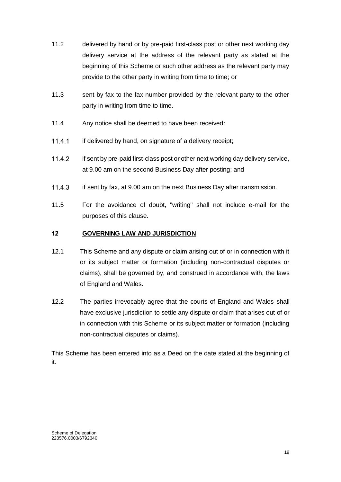- 11.2 delivered by hand or by pre-paid first-class post or other next working day delivery service at the address of the relevant party as stated at the beginning of this Scheme or such other address as the relevant party may provide to the other party in writing from time to time; or
- 11.3 sent by fax to the fax number provided by the relevant party to the other party in writing from time to time.
- 11.4 Any notice shall be deemed to have been received:
- 11.4.1 if delivered by hand, on signature of a delivery receipt;
- 11.4.2 if sent by pre-paid first-class post or other next working day delivery service, at 9.00 am on the second Business Day after posting; and
- 11.4.3 if sent by fax, at 9.00 am on the next Business Day after transmission.
- 11.5 For the avoidance of doubt, "writing" shall not include e-mail for the purposes of this clause.

#### <span id="page-19-0"></span>**12 GOVERNING LAW AND JURISDICTION**

- 12.1 This Scheme and any dispute or claim arising out of or in connection with it or its subject matter or formation (including non-contractual disputes or claims), shall be governed by, and construed in accordance with, the laws of England and Wales.
- 12.2 The parties irrevocably agree that the courts of England and Wales shall have exclusive jurisdiction to settle any dispute or claim that arises out of or in connection with this Scheme or its subject matter or formation (including non-contractual disputes or claims).

This Scheme has been entered into as a Deed on the date stated at the beginning of it.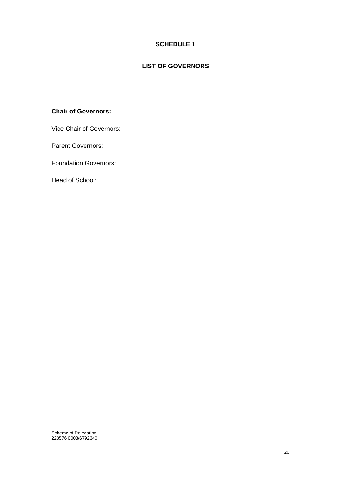# **SCHEDULE 1**

# **LIST OF GOVERNORS**

#### <span id="page-20-0"></span>**Chair of Governors:**

Vice Chair of Governors:

Parent Governors:

Foundation Governors:

Head of School: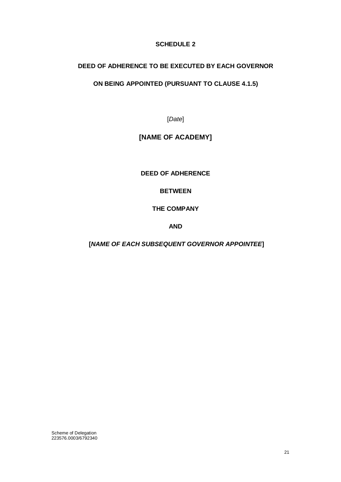# **SCHEDULE 2**

# <span id="page-21-0"></span>**DEED OF ADHERENCE TO BE EXECUTED BY EACH GOVERNOR**

## **ON BEING APPOINTED (PURSUANT TO CLAUSE 4.1.5)**

[*Date*]

# **[NAME OF ACADEMY]**

**DEED OF ADHERENCE**

## **BETWEEN**

**THE COMPANY**

**AND** 

**[***NAME OF EACH SUBSEQUENT GOVERNOR APPOINTEE***]**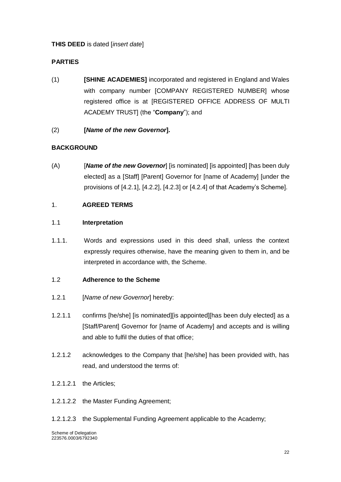# **THIS DEED** is dated [*insert date*]

# **PARTIES**

(1) **[SHINE ACADEMIES]** incorporated and registered in England and Wales with company number [COMPANY REGISTERED NUMBER] whose registered office is at [REGISTERED OFFICE ADDRESS OF MULTI ACADEMY TRUST] (the "**Company**"); and

# (2) **[***Name of the new Governor***].**

# **BACKGROUND**

(A) [*Name of the new Governor*] [is nominated] [is appointed] [has been duly elected] as a [Staff] [Parent] Governor for [name of Academy] [under the provisions of [4.2.1], [4.2.2], [4.2.3] or [4.2.4] of that Academy's Scheme].

## 1. **AGREED TERMS**

## 1.1 **Interpretation**

1.1.1. Words and expressions used in this deed shall, unless the context expressly requires otherwise, have the meaning given to them in, and be interpreted in accordance with, the Scheme.

## 1.2 **Adherence to the Scheme**

- 1.2.1 [*Name of new Governor*] hereby:
- 1.2.1.1 confirms [he/she] [is nominated][is appointed][has been duly elected] as a [Staff/Parent] Governor for [name of Academy] and accepts and is willing and able to fulfil the duties of that office;
- 1.2.1.2 acknowledges to the Company that [he/she] has been provided with, has read, and understood the terms of:
- 1.2.1.2.1 the Articles;
- 1.2.1.2.2 the Master Funding Agreement;
- 1.2.1.2.3 the Supplemental Funding Agreement applicable to the Academy;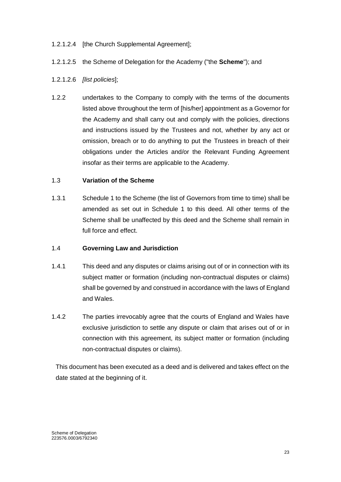#### 1.2.1.2.4 [the Church Supplemental Agreement];

- 1.2.1.2.5 the Scheme of Delegation for the Academy ("the **Scheme**"); and
- 1.2.1.2.6 *[list policies*];
- 1.2.2 undertakes to the Company to comply with the terms of the documents listed above throughout the term of [his/her] appointment as a Governor for the Academy and shall carry out and comply with the policies, directions and instructions issued by the Trustees and not, whether by any act or omission, breach or to do anything to put the Trustees in breach of their obligations under the Articles and/or the Relevant Funding Agreement insofar as their terms are applicable to the Academy.

#### 1.3 **Variation of the Scheme**

1.3.1 Schedule 1 to the Scheme (the list of Governors from time to time) shall be amended as set out in Schedule 1 to this deed. All other terms of the Scheme shall be unaffected by this deed and the Scheme shall remain in full force and effect.

#### 1.4 **Governing Law and Jurisdiction**

- 1.4.1 This deed and any disputes or claims arising out of or in connection with its subject matter or formation (including non-contractual disputes or claims) shall be governed by and construed in accordance with the laws of England and Wales.
- 1.4.2 The parties irrevocably agree that the courts of England and Wales have exclusive jurisdiction to settle any dispute or claim that arises out of or in connection with this agreement, its subject matter or formation (including non-contractual disputes or claims).

This document has been executed as a deed and is delivered and takes effect on the date stated at the beginning of it.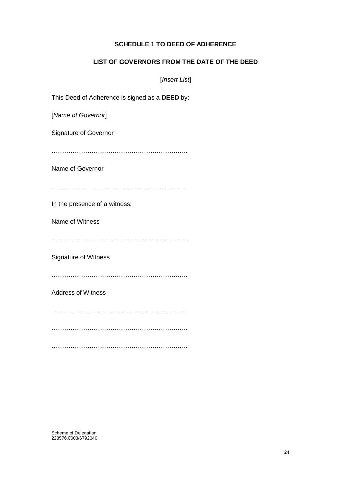#### **SCHEDULE 1 TO DEED OF ADHERENCE**

#### **LIST OF GOVERNORS FROM THE DATE OF THE DEED**

[*Insert List*]

This Deed of Adherence is signed as a **DEED** by:

[*Name of Governor*]

Signature of Governor

………………………………………………………..

Name of Governor

………………………………………………………..

In the presence of a witness:

Name of Witness

………………………………………………………..

Signature of Witness

………………………………………………………..

Address of Witness

………………………………………………………..

………………………………………………………..

………………………………………………………..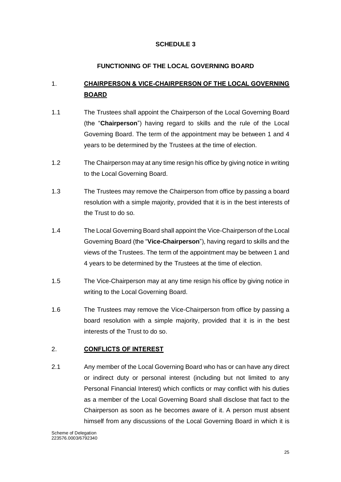# **SCHEDULE 3**

# **FUNCTIONING OF THE LOCAL GOVERNING BOARD**

# <span id="page-25-1"></span><span id="page-25-0"></span>1. **CHAIRPERSON & VICE-CHAIRPERSON OF THE LOCAL GOVERNING BOARD**

- 1.1 The Trustees shall appoint the Chairperson of the Local Governing Board (the "**Chairperson**") having regard to skills and the rule of the Local Governing Board. The term of the appointment may be between 1 and 4 years to be determined by the Trustees at the time of election.
- 1.2 The Chairperson may at any time resign his office by giving notice in writing to the Local Governing Board.
- 1.3 The Trustees may remove the Chairperson from office by passing a board resolution with a simple majority, provided that it is in the best interests of the Trust to do so.
- 1.4 The Local Governing Board shall appoint the Vice-Chairperson of the Local Governing Board (the "**Vice-Chairperson**"), having regard to skills and the views of the Trustees. The term of the appointment may be between 1 and 4 years to be determined by the Trustees at the time of election.
- 1.5 The Vice-Chairperson may at any time resign his office by giving notice in writing to the Local Governing Board.
- 1.6 The Trustees may remove the Vice-Chairperson from office by passing a board resolution with a simple majority, provided that it is in the best interests of the Trust to do so.

## <span id="page-25-2"></span>2. **CONFLICTS OF INTEREST**

2.1 Any member of the Local Governing Board who has or can have any direct or indirect duty or personal interest (including but not limited to any Personal Financial Interest) which conflicts or may conflict with his duties as a member of the Local Governing Board shall disclose that fact to the Chairperson as soon as he becomes aware of it. A person must absent himself from any discussions of the Local Governing Board in which it is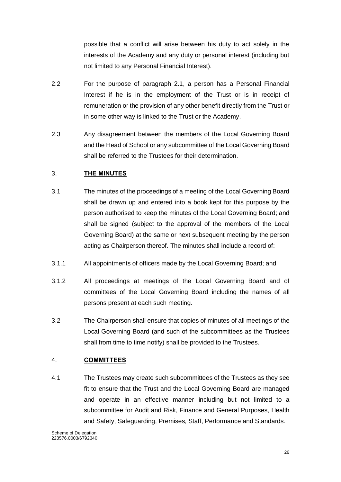possible that a conflict will arise between his duty to act solely in the interests of the Academy and any duty or personal interest (including but not limited to any Personal Financial Interest).

- 2.2 For the purpose of paragraph 2.1, a person has a Personal Financial Interest if he is in the employment of the Trust or is in receipt of remuneration or the provision of any other benefit directly from the Trust or in some other way is linked to the Trust or the Academy.
- 2.3 Any disagreement between the members of the Local Governing Board and the Head of School or any subcommittee of the Local Governing Board shall be referred to the Trustees for their determination.

#### <span id="page-26-0"></span>3. **THE MINUTES**

- 3.1 The minutes of the proceedings of a meeting of the Local Governing Board shall be drawn up and entered into a book kept for this purpose by the person authorised to keep the minutes of the Local Governing Board; and shall be signed (subject to the approval of the members of the Local Governing Board) at the same or next subsequent meeting by the person acting as Chairperson thereof. The minutes shall include a record of:
- 3.1.1 All appointments of officers made by the Local Governing Board; and
- 3.1.2 All proceedings at meetings of the Local Governing Board and of committees of the Local Governing Board including the names of all persons present at each such meeting.
- 3.2 The Chairperson shall ensure that copies of minutes of all meetings of the Local Governing Board (and such of the subcommittees as the Trustees shall from time to time notify) shall be provided to the Trustees.

#### <span id="page-26-1"></span>4. **COMMITTEES**

4.1 The Trustees may create such subcommittees of the Trustees as they see fit to ensure that the Trust and the Local Governing Board are managed and operate in an effective manner including but not limited to a subcommittee for Audit and Risk, Finance and General Purposes, Health and Safety, Safeguarding, Premises, Staff, Performance and Standards.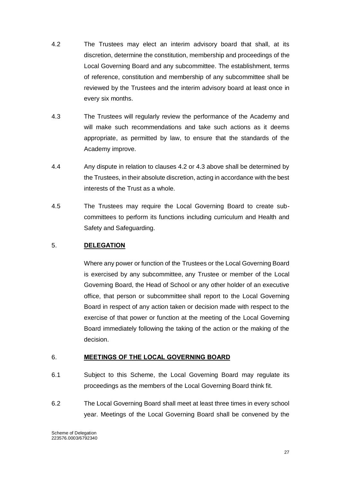- 4.2 The Trustees may elect an interim advisory board that shall, at its discretion, determine the constitution, membership and proceedings of the Local Governing Board and any subcommittee. The establishment, terms of reference, constitution and membership of any subcommittee shall be reviewed by the Trustees and the interim advisory board at least once in every six months.
- 4.3 The Trustees will regularly review the performance of the Academy and will make such recommendations and take such actions as it deems appropriate, as permitted by law, to ensure that the standards of the Academy improve.
- 4.4 Any dispute in relation to clauses 4.2 or 4.3 above shall be determined by the Trustees, in their absolute discretion, acting in accordance with the best interests of the Trust as a whole.
- 4.5 The Trustees may require the Local Governing Board to create subcommittees to perform its functions including curriculum and Health and Safety and Safeguarding.

## <span id="page-27-0"></span>5. **DELEGATION**

Where any power or function of the Trustees or the Local Governing Board is exercised by any subcommittee, any Trustee or member of the Local Governing Board, the Head of School or any other holder of an executive office, that person or subcommittee shall report to the Local Governing Board in respect of any action taken or decision made with respect to the exercise of that power or function at the meeting of the Local Governing Board immediately following the taking of the action or the making of the decision.

#### <span id="page-27-1"></span>6. **MEETINGS OF THE LOCAL GOVERNING BOARD**

- 6.1 Subject to this Scheme, the Local Governing Board may regulate its proceedings as the members of the Local Governing Board think fit.
- 6.2 The Local Governing Board shall meet at least three times in every school year. Meetings of the Local Governing Board shall be convened by the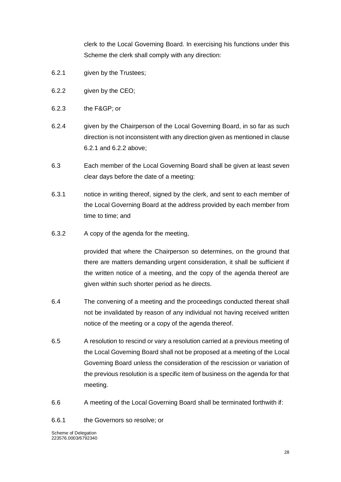clerk to the Local Governing Board. In exercising his functions under this Scheme the clerk shall comply with any direction:

- 6.2.1 given by the Trustees;
- 6.2.2 given by the CEO;
- 6.2.3 the F&GP; or
- 6.2.4 given by the Chairperson of the Local Governing Board, in so far as such direction is not inconsistent with any direction given as mentioned in clause 6.2.1 and 6.2.2 above;
- 6.3 Each member of the Local Governing Board shall be given at least seven clear days before the date of a meeting:
- 6.3.1 notice in writing thereof, signed by the clerk, and sent to each member of the Local Governing Board at the address provided by each member from time to time; and
- 6.3.2 A copy of the agenda for the meeting,

provided that where the Chairperson so determines, on the ground that there are matters demanding urgent consideration, it shall be sufficient if the written notice of a meeting, and the copy of the agenda thereof are given within such shorter period as he directs.

- 6.4 The convening of a meeting and the proceedings conducted thereat shall not be invalidated by reason of any individual not having received written notice of the meeting or a copy of the agenda thereof.
- 6.5 A resolution to rescind or vary a resolution carried at a previous meeting of the Local Governing Board shall not be proposed at a meeting of the Local Governing Board unless the consideration of the rescission or variation of the previous resolution is a specific item of business on the agenda for that meeting.
- 6.6 A meeting of the Local Governing Board shall be terminated forthwith if:

6.6.1 the Governors so resolve; or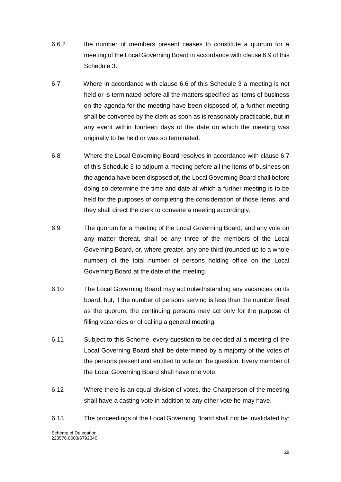- 6.6.2 the number of members present ceases to constitute a quorum for a meeting of the Local Governing Board in accordance with clause 6.9 of this Schedule 3.
- 6.7 Where in accordance with clause 6.6 of this Schedule 3 a meeting is not held or is terminated before all the matters specified as items of business on the agenda for the meeting have been disposed of, a further meeting shall be convened by the clerk as soon as is reasonably practicable, but in any event within fourteen days of the date on which the meeting was originally to be held or was so terminated.
- 6.8 Where the Local Governing Board resolves in accordance with clause 6.7 of this Schedule 3 to adjourn a meeting before all the items of business on the agenda have been disposed of, the Local Governing Board shall before doing so determine the time and date at which a further meeting is to be held for the purposes of completing the consideration of those items, and they shall direct the clerk to convene a meeting accordingly.
- 6.9 The quorum for a meeting of the Local Governing Board, and any vote on any matter thereat, shall be any three of the members of the Local Governing Board, or, where greater, any one third (rounded up to a whole number) of the total number of persons holding office on the Local Governing Board at the date of the meeting.
- 6.10 The Local Governing Board may act notwithstanding any vacancies on its board, but, if the number of persons serving is less than the number fixed as the quorum, the continuing persons may act only for the purpose of filling vacancies or of calling a general meeting.
- 6.11 Subject to this Scheme, every question to be decided at a meeting of the Local Governing Board shall be determined by a majority of the votes of the persons present and entitled to vote on the question. Every member of the Local Governing Board shall have one vote.
- 6.12 Where there is an equal division of votes, the Chairperson of the meeting shall have a casting vote in addition to any other vote he may have.
- 6.13 The proceedings of the Local Governing Board shall not be invalidated by: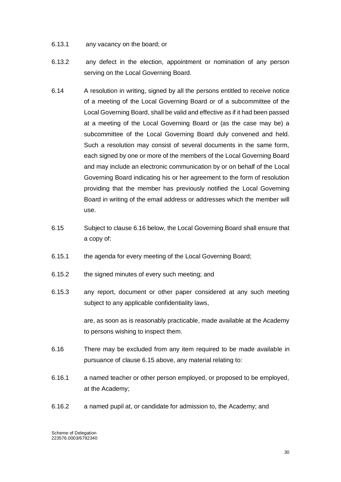- 6.13.1 any vacancy on the board; or
- 6.13.2 any defect in the election, appointment or nomination of any person serving on the Local Governing Board.
- 6.14 A resolution in writing, signed by all the persons entitled to receive notice of a meeting of the Local Governing Board or of a subcommittee of the Local Governing Board, shall be valid and effective as if it had been passed at a meeting of the Local Governing Board or (as the case may be) a subcommittee of the Local Governing Board duly convened and held. Such a resolution may consist of several documents in the same form, each signed by one or more of the members of the Local Governing Board and may include an electronic communication by or on behalf of the Local Governing Board indicating his or her agreement to the form of resolution providing that the member has previously notified the Local Governing Board in writing of the email address or addresses which the member will use.
- 6.15 Subject to clause 6.16 below, the Local Governing Board shall ensure that a copy of:
- 6.15.1 the agenda for every meeting of the Local Governing Board;
- 6.15.2 the signed minutes of every such meeting; and
- 6.15.3 any report, document or other paper considered at any such meeting subject to any applicable confidentiality laws,

are, as soon as is reasonably practicable, made available at the Academy to persons wishing to inspect them.

- 6.16 There may be excluded from any item required to be made available in pursuance of clause 6.15 above, any material relating to:
- 6.16.1 a named teacher or other person employed, or proposed to be employed, at the Academy;
- 6.16.2 a named pupil at, or candidate for admission to, the Academy; and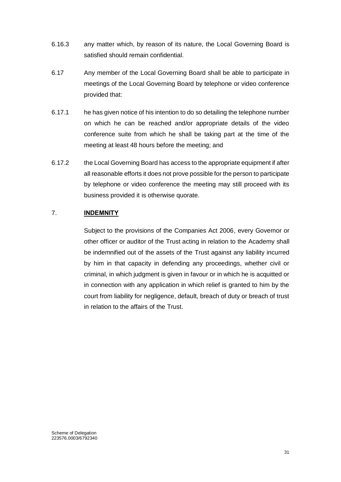- 6.16.3 any matter which, by reason of its nature, the Local Governing Board is satisfied should remain confidential.
- 6.17 Any member of the Local Governing Board shall be able to participate in meetings of the Local Governing Board by telephone or video conference provided that:
- 6.17.1 he has given notice of his intention to do so detailing the telephone number on which he can be reached and/or appropriate details of the video conference suite from which he shall be taking part at the time of the meeting at least 48 hours before the meeting; and
- 6.17.2 the Local Governing Board has access to the appropriate equipment if after all reasonable efforts it does not prove possible for the person to participate by telephone or video conference the meeting may still proceed with its business provided it is otherwise quorate.

## <span id="page-31-0"></span>7. **INDEMNITY**

Subject to the provisions of the Companies Act 2006, every Governor or other officer or auditor of the Trust acting in relation to the Academy shall be indemnified out of the assets of the Trust against any liability incurred by him in that capacity in defending any proceedings, whether civil or criminal, in which judgment is given in favour or in which he is acquitted or in connection with any application in which relief is granted to him by the court from liability for negligence, default, breach of duty or breach of trust in relation to the affairs of the Trust.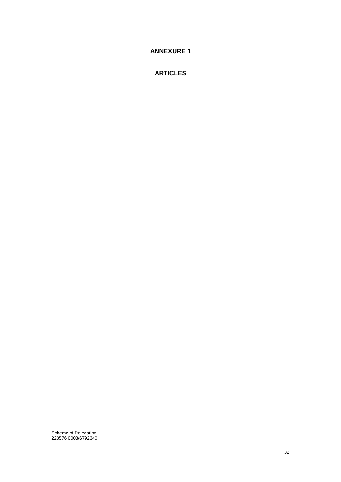## <span id="page-32-0"></span>**ANNEXURE 1**

## **ARTICLES**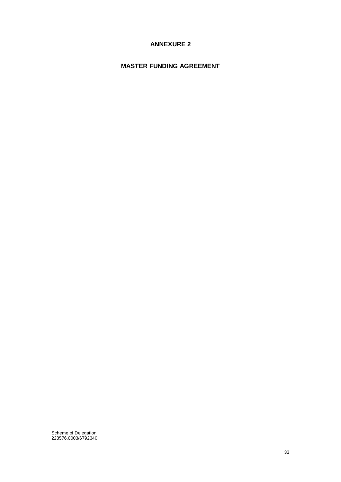# **ANNEXURE 2**

## <span id="page-33-0"></span>**MASTER FUNDING AGREEMENT**